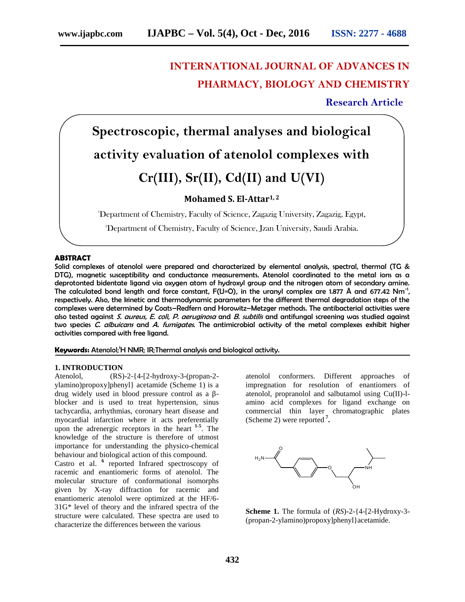# **INTERNATIONAL JOURNAL OF ADVANCES IN PHARMACY, BIOLOGY AND CHEMISTRY**

**Research Article**

# **Spectroscopic, thermal analyses and biological activity evaluation of atenolol complexes with Cr(III), Sr(II), Cd(II) and U(VI)**

## **Mohamed S. El-Attar1, 2**

<sup>1</sup>Department of Chemistry, Faculty of Science, Zagazig University, Zagazig, Egypt,

<sup>2</sup>Department of Chemistry, Faculty of Science, Jzan University, Saudi Arabia.

#### **ABSTRACT**

Solid complexes of atenolol were prepared and characterized by elemental analysis, spectral, thermal (TG & DTG), magnetic susceptibility and conductance measurements. Atenolol coordinated to the metal ions as a deprotonted bidentate ligand via oxygen atom of hydroxyl group and the nitrogen atom of secondary amine. The calculated bond length and force constant, F(U=O), in the uranyl complex are 1.877 Å and 677.42 Nm<sup>-1</sup>, respectively. Also, the kinetic and thermodynamic parameters for the different thermal degradation steps of the complexes were determined by Coats–Redfern and Horowitz–Metzger methods. The antibacterial activities were also tested against *S. aureus, E. coli*, *P. aeruginosa* and *B. subtilis* and antifungal screening was studied against two species *C. albuicans* and *A. fumigates*. The antimicrobial activity of the metal complexes exhibit higher activities compared with free ligand.

**Keywords:** Atenolol;<sup>1</sup>H NMR; IR;Thermal analysis and biological activity.

# 1. **INTRODUCTION**<br>Atenolol. (RS)

 $(RS)-2-{4-[2-hydroxy-3-(propan-2$ ylamino)propoxy]phenyl} acetamide (Scheme 1) is a drug widely used in blood pressure control as a blocker and is used to treat hypertension, sinus tachycardia, arrhythmias, coronary heart disease and myocardial infarction where it acts preferentially upon the adrenergic receptors in the heart **1-5** . The knowledge of the structure is therefore of utmost importance for understanding the physico-chemical behaviour and biological action of this compound.

Castro et al. **<sup>6</sup>** reported Infrared spectroscopy of racemic and enantiomeric forms of atenolol. The molecular structure of conformational isomorphs given by X-ray diffraction for racemic and enantiomeric atenolol were optimized at the HF/6- 31G\* level of theory and the infrared spectra of the structure were calculated. These spectra are used to characterize the differences between the various

atenolol conformers. Different approaches of impregnation for resolution of enantiomers of atenolol, propranolol and salbutamol using Cu(II)-l amino acid complexes for ligand exchange on commercial thin layer chromatographic plates (Scheme 2) were reported **<sup>7</sup> .**



**Scheme 1.** The formula of (*RS*)-2-{4-[2-Hydroxy-3- (propan-2-ylamino)propoxy]phenyl}acetamide.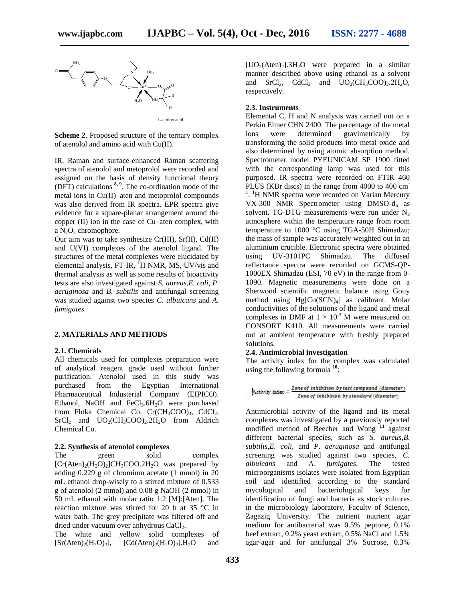

**Scheme 2.** Proposed structure of the ternary complex ions of atenolol and amino acid with Cu(II).

IR, Raman and surface-enhanced Raman scattering spectra of atenolol and metoprolol were recorded and assigned on the basis of density functional theory (DFT) calculations **8, 9**. The co-ordination mode of the metal ions in Cu(II)–aten and metoprolol compounds was also derived from IR spectra. EPR spectra give evidence for a square-planar arrangement around the copper (II) ion in the case of Cu–aten complex, with a  $N_2O_2$  chromophore.

Our aim was to take synthesize  $Cr(III)$ ,  $Sr(II)$ ,  $Cd(II)$ and U(VI) complexes of the atenolol ligand. The structures of the metal complexes were elucidated by elemental analysis, FT-IR,  ${}^{1}$ H NMR, MS, UV/vis and thermal analysis as well as some results of bioactivity tests are also investigated against *S. aureus,E. coli*, *P. aeruginosa* and *B. subtilis* and antifungal screening was studied against two species *C. albuicans* and *A. fumigates*.

#### **2. MATERIALS AND METHODS**

#### **2.1. Chemicals**

All chemicals used for complexes preparation were of analytical reagent grade used without further purification. Atenolol used in this study was purchased from the Egyptian International Pharmaceutical Industerial Company (EIPICO). Ethanol, NaOH and FeCl<sub>3</sub>.6H<sub>2</sub>O were purchased from Fluka Chemical Co.  $Cr(CH_3COO)_3$ , CdCl<sub>2</sub>,  $SrCl<sub>2</sub>$  and  $UO<sub>2</sub>(CH<sub>3</sub>COO)<sub>2</sub>$ . 2H<sub>2</sub>O from Aldrich Chemical Co.

#### **2.2. Synthesis of atenolol complexes**

The green solid complex  $[Cr(Aten)<sub>2</sub>(H<sub>2</sub>O)<sub>2</sub>]CH<sub>3</sub>COO.2H<sub>2</sub>O$  was prepared by *albuicans* adding 0.229 g of chromium acetate (1 mmol) in 20 mL ethanol drop-wisely to a stirred mixture of 0.533 g of atenolol (2 mmol) and 0.08 g NaOH (2 mmol) in 50 mL ethanol with molar ratio 1:2 [M]:[Aten]. The reaction mixture was stirred for 20 h at 35 °C in water bath. The grey precipitate was filtered off and dried under vacuum over anhydrous CaCl<sub>2</sub>.

The white and yellow solid complexes of  $[Sr(Aten)_2(H_2O)_2]$ ,  $[Cd(Aten)_2(H_2O)_2]$ .  $H_2O$  and

 $[UO<sub>2</sub>(Aten)<sub>2</sub>].3H<sub>2</sub>O$  were prepared in a similar manner described above using ethanol as a solvent and  $SrCl<sub>2</sub>$ , CdCl<sub>2</sub> and UO<sub>2</sub>(CH<sub>3</sub>COO)<sub>2</sub>.2H<sub>2</sub>O, respectively.

#### **2.3. Instruments**

Elemental C, H and N analysis was carried out on a Perkin Elmer CHN 2400. The percentage of the metal<br>ions were determined gravimetrically by determined gravimetrically by transforming the solid products into metal oxide and also determined by using atomic absorption method. Spectrometer model PYEUNICAM SP 1900 fitted with the corresponding lamp was used for this purposed. IR spectra were recorded on FTIR 460 PLUS (KBr discs) in the range from 4000 to 400 cm<sup>-</sup>  $1$ . <sup>1</sup>H NMR spectra were recorded on Varian Mercury VX-300 NMR Spectrometer using DMSO- $d_6$  as solvent. TG-DTG measurements were run under  $N<sub>2</sub>$ atmosphere within the temperature range from room temperature to 1000 °C using TGA-50H Shimadzu; the mass of sample was accurately weighted out in an aluminium crucible. Electronic spectra were obtained using UV-3101PC Shimadzu. The diffused reflectance spectra were recorded on GCMS-QP- 1000EX Shimadzu (ESI, 70 eV) in the range from 0- 1090. Magnetic measurements were done on a Sherwood scientific magnetic balance using Gouy method using  $Hg[Co(SCN)<sub>4</sub>]$  as calibrant. Molar conductivities of the solutions of the ligand and metal complexes in DMF at  $1 \times 10^{-3}$  M were measured on CONSORT K410. All measurements were carried out at ambient temperature with freshly prepared solutions.

#### **2.4. Antimicrobial investigation**

The activity index for the complex was calculated using the following formula **<sup>10</sup>**:

```
\text{Activity index} = \frac{\text{Zone of inhibition by test compound (diameter)}}{\text{Zone of inhibition by standard (diameter)}}
```
Antimicrobial activity of the ligand and its metal complexes was investigated by a previously reported modified method of Beecher and Wong **<sup>11</sup>** against different bacterial species, such as *S. aureus,B. subtilis,E. coli,* and *P. aeruginosa* and antifungal screening was studied against two species, *C.* and *A. fumigates*. The tested microorganisms isolates were isolated from Egyptian soil and identified according to the standard and bacteriological keys for identification of fungi and bacteria as stock cultures in the microbiology laboratory, Faculty of Science, Zagazig University. The nutrient nutrient agar medium for antibacterial was 0.5% peptone, 0.1% beef extract, 0.2% yeast extract, 0.5% NaCl and 1.5% agar-agar and for antifungal 3% Sucrose, 0.3%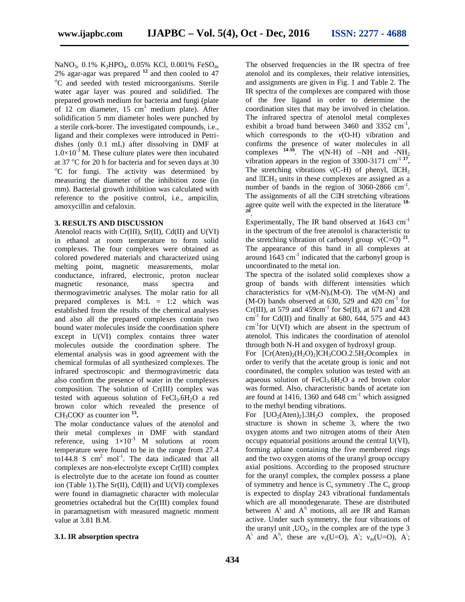NaNO<sub>3</sub>, 0.1% K<sub>2</sub>HPO<sub>4</sub>, 0.05% KCl, 0.001% FeSO<sub>4</sub>, 2% agar-agar was prepared **<sup>12</sup>** and then cooled to 47 <sup>o</sup>C and seeded with tested microorganisms. Sterile water agar layer was poured and solidified. The prepared growth medium for bacteria and fungi (plate of 12 cm diameter, 15 cm<sup>3</sup> medium plate). After solidification 5 mm diameter holes were punched by a sterile cork-borer. The investigated compounds, i.e., ligand and their complexes were introduced in Petri dishes (only 0.1 mL) after dissolving in DMF at  $1.0\times10^{-3}$  M. These culture plates were then incubated at 37  $^{\circ}$ C for 20 h for bacteria and for seven days at 30 <sup>o</sup>C for fungi. The activity was determined by measuring the diameter of the inhibition zone (in mm). Bacterial growth inhibition was calculated with reference to the positive control, i.e., ampicilin, amoxycillin and cefaloxin.

#### **3. RESULTS AND DISCUSSION**

Atenolol reacts with Cr(III), Sr(II), Cd(II) and U(VI) in ethanol at room temperature to form solid complexes. The four complexes were obtained as colored powdered materials and characterized using melting point, magnetic measurements, molar conductance, infrared, electronic, proton nuclear magnetic resonance, mass spectra and thermogravimetric analyses. The molar ratio for all prepared complexes is  $M: L = 1:2$  which was established from the results of the chemical analyses and also all the prepared complexes contain two bound water molecules inside the coordination sphere except in U(VI) complex contains three water molecules outside the coordination sphere. The elemental analysis was in good agreement with the chemical formulas of all synthesized complexes. The infrared spectroscopic and thermogravimetric data also confirm the presence of water in the complexes composition. The solution of Cr(III) complex was tested with aqueous solution of  $FeCl<sub>3</sub>.6H<sub>2</sub>O$  a red brown color which revealed the presence of  $CH<sub>3</sub>COO<sup>-</sup>$  as counter ion  $^{13}$ .

The molar conductance values of the atenolol and their metal complexes in DMF with standard reference, using  $1 \times 10^{-3}$  M solutions at room occup temperature were found to be in the range from 27.4 to144.8 S  $\text{cm}^2$  mol<sup>-1</sup>. The data indicated that all complexes are non-electrolyte except Cr(III) complex is electrolyte due to the acetate ion found as counter ion (Table 1).The Sr(II), Cd(II) and U(VI) complexes were found in diamagnetic character with molecular geometries octahedral but the Cr(III) complex found in paramagnetism with measured magnetic moment value at 3.81 B.M.

#### **3.1. IR absorption spectra**

The observed frequencies in the IR spectra of free atenolol and its complexes, their relative intensities, and assignments are given in Fig. 1 and Table 2. The IR spectra of the complexes are compared with those of the free ligand in order to determine the coordination sites that may be involved in chelation. The infrared spectra of atenolol metal complexes exhibit a broad band between  $3460$  and  $3352$  cm<sup>-1</sup>, which corresponds to the (O-H) vibration and confirms the presence of water molecules in all complexes  $^{14\text{-}16}$ . The (N-H) of –NH and -NH<sub>2</sub> vibration appears in the region of  $3300-3171$  cm<sup>-1 17</sup>. **.** The stretching vibrations (C-H) of phenyl,  $CH<sub>2</sub>$ and  $CH_3$  units in these complexes are assigned as a number of bands in the region of  $3060-2866$  cm<sup>-1</sup>. The assignments of all the  $C$   $H$  stretching vibrations agree quite well with the expected in the literature  $18 - 20$ .

Experimentally, The IR band observed at 1643 cm-1 in the spectrum of the free atenolol is characteristic to the stretching vibration of carbonyl group  $(C=O)^{21}$ . The appearance of this band in all complexes at around  $1643 \text{ cm}^{-1}$  indicated that the carbonyl group is uncoordinated to the metal ion.

The spectra of the isolated solid complexes show a group of bands with different intensities which characteristics for  $(M-N),(M-O)$ . The  $(M-N)$  and  $(M-O)$  bands observed at 630, 529 and 420 cm<sup>-1</sup> for Cr(III), at 579 and 459cm<sup>-1</sup> for Sr(II), at 671 and 428  $cm<sup>-1</sup>$  for Cd(II) and finally at 680, 644, 575 and 443  $cm^{-1}$  for U(VI) which are absent in the spectrum of atenolol. This indicates the coordination of atenolol through both N-H and oxygen of hydroxyl group.

For  $[Cr(Aten)<sub>2</sub>(H<sub>2</sub>O)<sub>2</sub>]CH<sub>3</sub>COO.2.5H<sub>2</sub>Ocomplex in$ order to verify that the acetate group is ionic and not coordinated, the complex solution was tested with an aqueous solution of  $FeCl<sub>3</sub>·6H<sub>2</sub>O$  a red brown color was formed. Also, characteristic bands of acetate ion are found at 1416, 1360 and  $648 \text{ cm}^{-1}$  which assigned to the methyl bending vibrations.

For  $[UO<sub>2</sub>(Aten)<sub>2</sub>]$ .3H<sub>2</sub>O complex, the proposed structure is shown in scheme 3, where the two oxygen atoms and two nitrogen atoms of their Aten occupy equatorial positions around the central U(VI), forming aplane containing the five membered rings and the two oxygen atoms of the uranyl group occupy axial positions. According to the proposed structure for the uranyl complex, the complex possess a plane of symmetry and hence is  $C_s$  symmetry .The  $C_s$  group is expected to display 243 vibrational fundamentals which are all monodegenarate. These are distributed between  $A^{\dagger}$  and  $A^{\dagger}$  motions, all are IR and Raman active. Under such symmetry, the four vibrations of the uranyl unit  $U_2$ , in the complex are of the type 3  $A^{\dagger}$  and  $A^{\dagger}$ , these are <sub>s</sub>(U=O),  $A^{\dagger}$ ; <sub>as</sub>(U=O),  $A^{\dagger}$ ;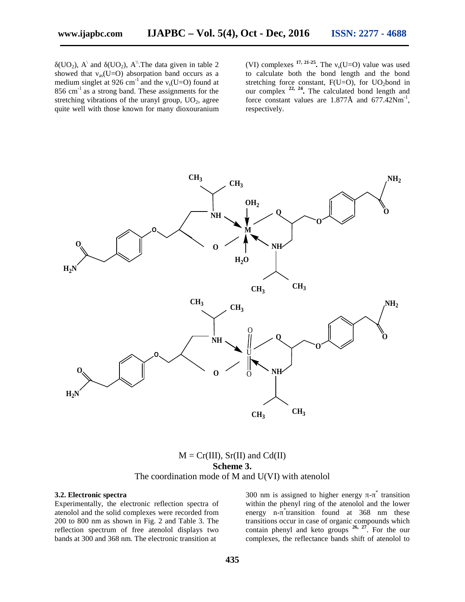(UO<sub>2</sub>), A<sup>\</sup> and (UO<sub>2</sub>), A<sup>\ $\parallel$ </sup>. The data given in table 2 showed that  $_{8}$ (U=O) absorpation band occurs as a medium singlet at 926 cm<sup>-1</sup> and the  $s(U=O)$  found at  $856 \text{ cm}^{-1}$  as a strong band. These assignments for the stretching vibrations of the uranyl group,  $UO<sub>2</sub>$ , agree quite well with those known for many dioxouranium

(VI) complexes  $17, 21-25$ . The <sub>s</sub>(U=O) value was used to calculate both the bond length and the bond stretching force constant,  $F(U=O)$ , for UO<sub>2</sub>bond in our complex **22, 24 .** The calculated bond length and force constant values are  $1.877\text{\AA}$  and  $677.42\text{Nm}^{-1}$ , respectively.



## $M = Cr(III)$ ,  $Sr(II)$  and  $Cd(II)$ **Scheme 3.** The coordination mode of M and U(VI) with atenolol

#### **3.2. Electronic spectra**

Experimentally, the electronic reflection spectra of atenolol and the solid complexes were recorded from 200 to 800 nm as shown in Fig. 2 and Table 3. The reflection spectrum of free atenolol displays two bands at 300 and 368 nm. The electronic transition at

300 nm is assigned to higher energy  $*$  transition within the phenyl ring of the atenolol and the lower energy n- \* transition found at 368 nm these transitions occur in case of organic compounds which contain phenyl and keto groups **26, 27**. For the our complexes, the reflectance bands shift of atenolol to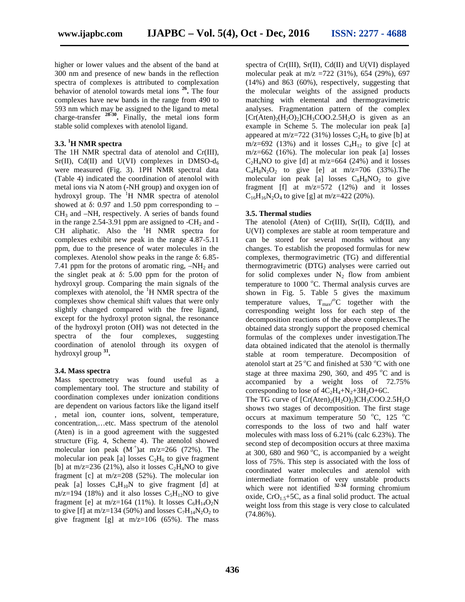higher or lower values and the absent of the band at 300 nm and presence of new bands in the reflection spectra of complexes is attributed to complexation behavior of atenolol towards metal ions **<sup>26</sup> .** The four complexes have new bands in the range from 490 to 593 nm which may be assigned to the ligand to metal charge-transfer  $28-30$ . Finally, the metal ions form  $[Cr(A)]$ stable solid complexes with atenolol ligand.

#### **3.3. <sup>1</sup>H NMR spectra**

The 1H NMR spectral data of atenolol and Cr(III), Sr(II), Cd(II) and U(VI) complexes in DMSO- $d_6$ were measured (Fig. 3). 1PH NMR spectral data (Table 4) indicated the coordination of atenolol with metal ions via N atom (-NH group) and oxygen ion of hydroxyl group. The  $H$  NMR spectra of atenolol showed at  $\therefore$  0.97 and 1.50 ppm corresponding to –  $CH<sub>3</sub>$  and  $-NH$ , respectively. A series of bands found in the range  $2.54-3.91$  ppm are assigned to  $-CH<sub>2</sub>$  and -CH aliphatic. Also the  $H$  NMR spectra for complexes exhibit new peak in the range 4.87-5.11 ppm, due to the presence of water molecules in the complexes. Atenolol show peaks in the range  $: 6.85$ -7.41 ppm for the protons of aromatic ring,  $-NH<sub>2</sub>$  and the singlet peak at  $\therefore$  5.00 ppm for the proton of hydroxyl group. Comparing the main signals of the complexes with atenolol, the  ${}^{1}$ H NMR spectra of the complexes show chemical shift values that were only slightly changed compared with the free ligand, except for the hydroxyl proton signal, the resonance of the hydroxyl proton (OH) was not detected in the spectra of the four complexes, suggesting coordination of atenolol through its oxygen of hydroxyl group **<sup>31</sup> .**

#### **3.4. Mass spectra**

Mass spectrometry was found useful as a complementary tool. The structure and stability of coordination complexes under ionization conditions are dependent on various factors like the ligand itself , metal ion, counter ions, solvent, temperature, concentration,…etc. Mass spectrum of the atenolol (Aten) is in a good agreement with the suggested structure (Fig. 4, Scheme 4). The atenolol showed molecular ion peak  $(M<sup>+</sup>)$ at m/z=266 (72%). The molecular ion peak [a] losses  $C_2H_6$  to give fragment [b] at m/z=236 (21%), also it losses  $C_2H_4NO$  to give fragment [c] at m/z=208 (52%). The molecular ion peak [a] losses  $C_4H_{10}N$  to give fragment [d] at m/z=194 (18%) and it also losses  $C_5H_{12}NO$  to give fragment [e] at m/z=164 (11%). It losses  $C_6H_{14}O_2N$ to give [f] at m/z=134 (50%) and losses  $C_7H_{14}N_2O_2$  to give fragment [g] at  $m/z=106$  (65%). The mass

spectra of  $Cr(III)$ ,  $Sr(II)$ ,  $Cd(II)$  and  $U(VI)$  displayed molecular peak at m/z =722 (31%), 654 (29%), 697 (14%) and 863 (60%), respectively, suggesting that the molecular weights of the assigned products matching with elemental and thermogravimetric analyses. Fragmentation pattern of the complex  $[Cr(Aten)<sub>2</sub>(H<sub>2</sub>O)<sub>2</sub>]CH<sub>3</sub>COO.2.5H<sub>2</sub>O$  is given as an example in Scheme 5. The molecular ion peak [a] appeared at m/z=722 (31%) losses  $C_2H_6$  to give [b] at m/z=692 (13%) and it losses  $C_4H_{12}$  to give [c] at m/z=662 (16%). The molecular ion peak [a] losses  $C_2H_4NO$  to give [d] at m/z=664 (24%) and it losses  $C_4H_8N_2O_2$  to give [e] at m/z=706 (33%). The molecular ion peak [a] losses  $C_8H_8NO_2$  to give fragment [f] at m/z=572 (12%) and it losses  $C_{16}H_{16}N_2O_4$  to give [g] at m/z=422 (20%).

#### **3.5. Thermal studies**

The atenolol (Aten) of Cr(III), Sr(II), Cd(II), and U(VI) complexes are stable at room temperature and can be stored for several months without any changes. To establish the proposed formulas for new complexes, thermogravimetric (TG) and differential thermogravimetric (DTG) analyses were carried out for solid complexes under  $N_2$  flow from ambient temperature to 1000 °C. Thermal analysis curves are shown in Fig. 5. Table 5 gives the maximum temperature values,  $T_{\text{max}}$ <sup>o</sup>C together with the corresponding weight loss for each step of the decomposition reactions of the above complexes.The obtained data strongly support the proposed chemical formulas of the complexes under investigation.The data obtained indicated that the atenolol is thermally stable at room temperature. Decomposition of atenolol start at  $25^{\circ}$ C and finished at  $530^{\circ}$ C with one stage at three maxima 290, 360, and 495  $^{\circ}$ C and is accompanied by a weight loss of 72.75% corresponding to lose of  $4C_2H_4 + N_2 + 3H_2O + 6C$ .

The TG curve of  $[Cr(Aten)_{2}(H_{2}O)_{2}]CH_{3}COO.2.5H_{2}O$ shows two stages of decomposition. The first stage occurs at maximum temperature  $50^{\circ}$ C,  $125^{\circ}$ C corresponds to the loss of two and half water molecules with mass loss of 6.21% (calc 6.23%). The second step of decomposition occurs at three maxima at 300, 680 and 960 $\degree$ C, is accompanied by a weight loss of 75%. This step is associated with the loss of coordinated water molecules and atenolol with intermediate formation of very unstable products which were not identified **32-34** forming chromium oxide,  $CrO<sub>1.5</sub>+5C$ , as a final solid product. The actual weight loss from this stage is very close to calculated (74.86%).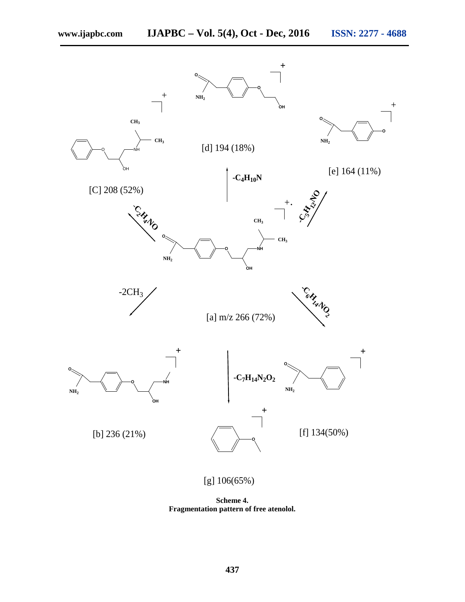

**Scheme 4. Fragmentation pattern of free atenolol.**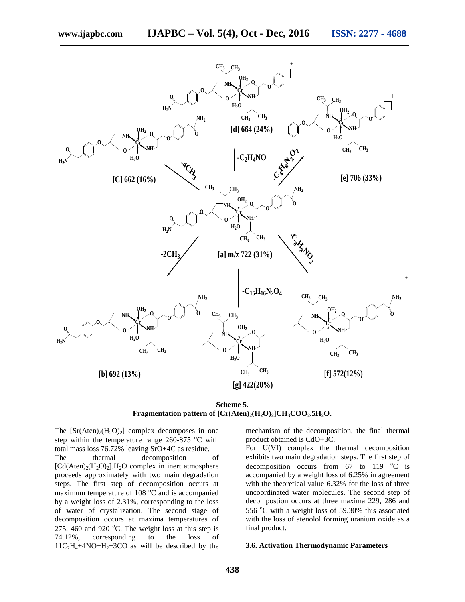

**Scheme 5. Fragmentation pattern of [Cr(Aten)2(H2O)2]CH3COO2.5H2O.**

The  $[Sr(Aten)_2(H_2O)_2]$  complex decomposes in one step within the temperature range  $260-875$  °C with total mass loss 76.72% leaving SrO+4C as residue. The thermal decomposition of  $[Cd(Aten)<sub>2</sub>(H<sub>2</sub>O)<sub>2</sub>].H<sub>2</sub>O complex in inert atmosphere$ proceeds approximately with two main degradation steps. The first step of decomposition occurs at maximum temperature of 108 °C and is accompanied by a weight loss of 2.31%, corresponding to the loss of water of crystalization. The second stage of decomposition occurs at maxima temperatures of 275, 460 and 920  $^{\circ}$ C. The weight loss at this step is 74.12%, corresponding to the loss of  $11C_2H_4 + 4NO + H_2 + 3CO$  as will be described by the

mechanism of the decomposition, the final thermal product obtained is CdO+3C.

For U(VI) complex the thermal decomposition exhibits two main degradation steps. The first step of decomposition occurs from  $67$  to  $119$  °C is accompanied by a weight loss of 6.25% in agreement with the theoretical value 6.32% for the loss of three uncoordinated water molecules. The second step of decompostion occurs at three maxima 229, 286 and 556 °C with a weight loss of 59.30% this associated with the loss of atenolol forming uranium oxide as a final product.

#### **3.6. Activation Thermodynamic Parameters**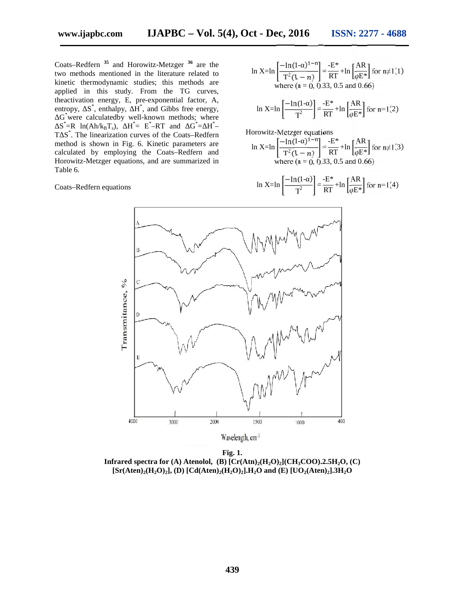Coats–Redfern **<sup>35</sup>** and Horowitz-Metzger **<sup>36</sup>** are the two methods mentioned in the literature related to kinetic thermodynamic studies; this methods are applied in this study. From the TG curves, theactivation energy, E, pre-exponential factor, A, entropy,  $S^*$ , enthalpy,  $H^*$ , and Gibbs free energy,

G<sup>\*</sup>were calculatedby well-known methods; where  $S^* = R \ln(Ah/k_B T_s)$ ,  $H^* = E^* - RT$  and  $G^* = H^* -$ T S \* . The linearization curves of the Coats–Redfern method is shown in Fig. 6. Kinetic parameters are calculated by employing the Coats–Redfern and Horowitz-Metzger equations, and are summarized in Table 6.

#### Coats–Redfern equations

$$
\ln X = \ln \left[ \frac{-\ln(1 - \mu)^{1-n}}{T^2 (1 - n)} \right] = \frac{-E^*}{RT} + \ln \left[ \frac{AR}{q E^*} \right] \text{ for } n \neq 1 \, (1)
$$
\n
$$
\text{where } (n = 0, 0.33, 0.5 \text{ and } 0.66)
$$

$$
\ln X = \ln \left[ \frac{-\ln(1-)}{T^2} \right] = \frac{-E^*}{RT} + \ln \left[ \frac{AR}{q E^*} \right] \text{ for } n = 1 (2)
$$

Horowitz-Metzger equations

$$
\ln X = \ln \left[ \frac{-\ln(1 - \mu)^{1-n}}{T^2 (1 - n)} \right] = \frac{-E^*}{RT} + \ln \left[ \frac{AR}{q E^*} \right] \text{ for } n \neq 1(3)
$$
\n
$$
\text{where } (n = 0, 0.33, 0.5 \text{ and } 0.66)
$$

$$
\ln X = \ln \left[ \frac{-\ln(1-)}{T^2} \right] = \frac{-E^*}{RT} + \ln \left[ \frac{AR}{q E^*} \right] \text{ for } n = 1 (4)
$$



Wavelength, cm<sup>-1</sup>

**Fig. 1. Infrared spectra for (A) Atenolol, (B)**  $[Cr(Atn)_2(H_2O)_2](CH_3COO)$ **.2.5H<sub>2</sub>O, (C) [Sr(Aten)2(H2O)2], (D) [Cd(Aten)2(H2O)2].H2O and (E) [UO2(Aten)2].3H2O**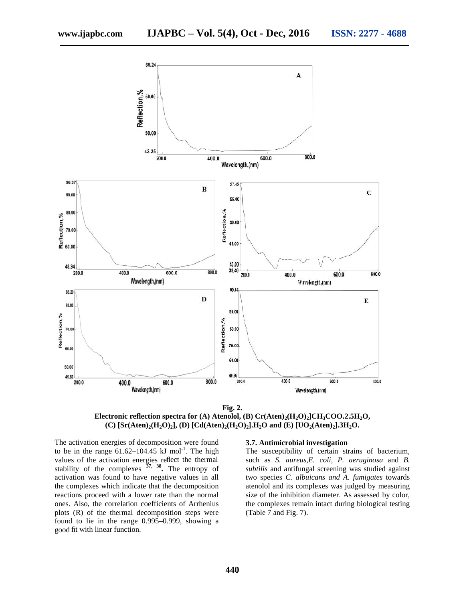

**Fig. 2. Electronic reflection spectra for (A) Atenolol, (B) Cr(Aten)2(H2O)2]CH3COO.2.5H2O,** (C)  $[Sr(Aten)_2(H_2O)_2]$ , (D)  $[Cd(Aten)_2(H_2O)_2]$ . H<sub>2</sub>O and (E)  $[UO_2(Aten)_2]$ . 3H<sub>2</sub>O.

The activation energies of decomposition were found to be in the range  $61.62 - 104.45$  kJ mol<sup>-1</sup>. The high values of the activation energies reflect the thermal stability of the complexes **37, 38 .** The entropy of activation was found to have negative values in all the complexes which indicate that the decomposition reactions proceed with a lower rate than the normal ones. Also, the correlation coefficients of Arrhenius plots (R) of the thermal decomposition steps were found to lie in the range 0.995–0.999, showing a good fit with linear function.

#### **3.7. Antimicrobial investigation**

The susceptibility of certain strains of bacterium, such as *S. aureus,E. coli*, *P. aeruginosa* and *B. subtilis* and antifungal screening was studied against two species *C. albuicans and A. fumigates* towards atenolol and its complexes was judged by measuring size of the inhibition diameter. As assessed by color, the complexes remain intact during biological testing (Table 7 and Fig. 7).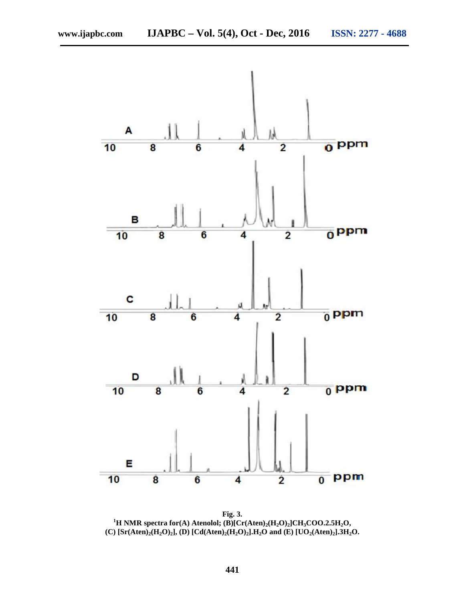

**Fig. 3. <sup>1</sup>H NMR spectra for(A) Atenolol; (B)[Cr(Aten)2(H2O)2]CH3COO.2.5H2O, (C) [Sr(Aten)2(H2O)2], (D) [Cd(Aten)2(H2O)2].H2O and (E) [UO2(Aten)2].3H2O.**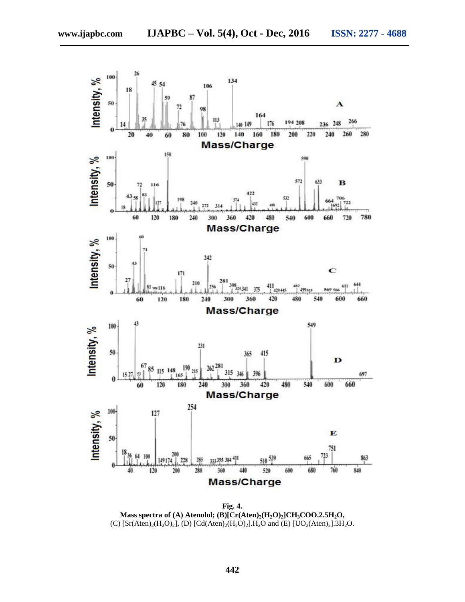

**Fig. 4. Mass spectra of (A) Atenolol; (B)**[ $Cr(Aten)_{2}(H_{2}O)_{2}$ ] $CH_{3}COO.2.5H_{2}O$ , (C)  $[Sr(Aten)_2(H_2O)_2]$ , (D)  $[Cd(Aten)_2(H_2O)_2]$ . H<sub>2</sub>O and (E)  $[UO_2(Aten)_2]$ . 3H<sub>2</sub>O.

**442**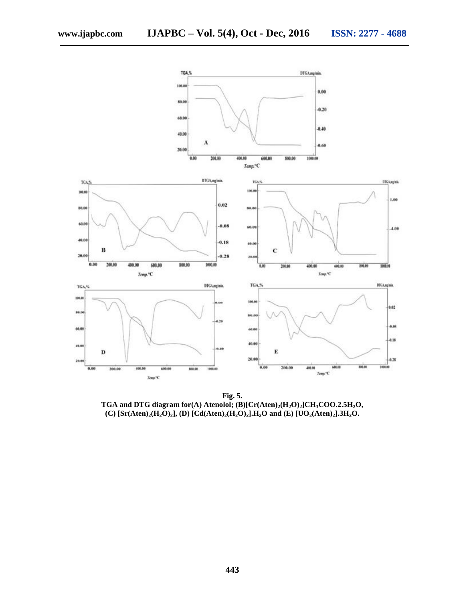



**Fig. 5. TGA and DTG diagram for(A) Atenolol; (B)[Cr(Aten)2(H2O)2]CH3COO.2.5H2O, (C)**  $[\text{Sr(Aten)}_{2}(\text{H}_{2}\text{O})_{2}]$ , **(D)**  $[\text{Cd(Aten)}_{2}(\text{H}_{2}\text{O})_{2}]$ , **H<sub>2</sub>O** and **(E)**  $[\text{UO}_{2}(\text{Aten})_{2}]$ , **3H**<sub>2</sub>**O.**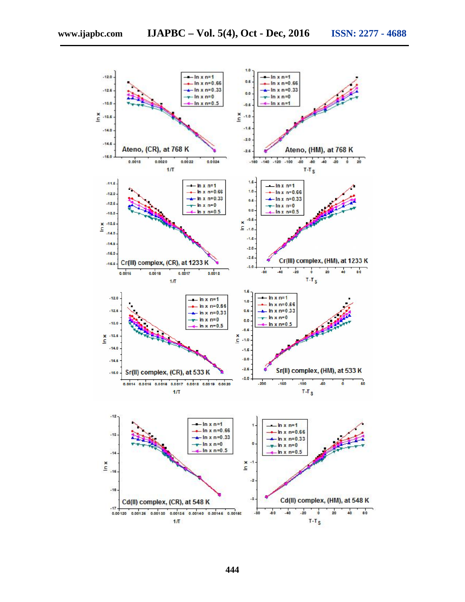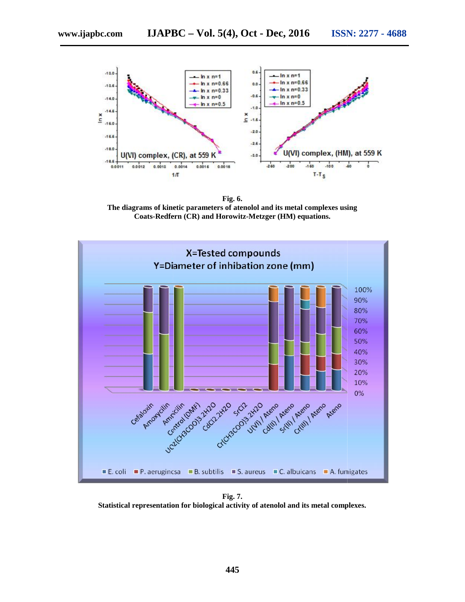

**Fig. 6. The diagrams of kinetic parameters of atenolol and its metal complexes using Coats-Redfern (CR) and Horowitz-Metzger (HM) equations.**



**Fig. 7. Statistical representation for biological activity of atenolol and its metal complexes.**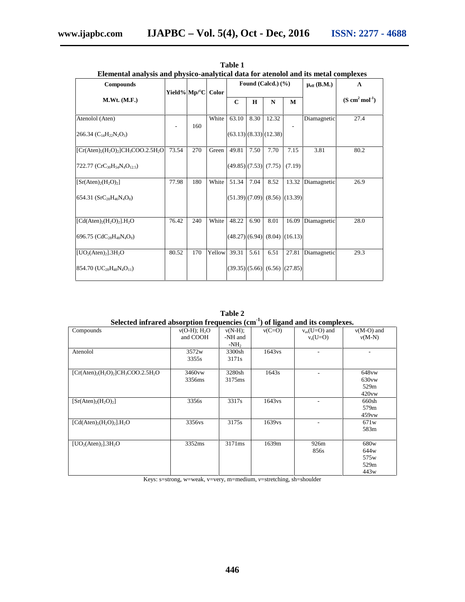| <b>Compounds</b>                                                          |                          |     |        |                             |      | Yield% Mp/ C                          |        | <b>Color</b> | Found (Calcd.) $(\%$ )              |  |  |  | $\mu_{\rm eff}$ (B.M.) |  |
|---------------------------------------------------------------------------|--------------------------|-----|--------|-----------------------------|------|---------------------------------------|--------|--------------|-------------------------------------|--|--|--|------------------------|--|
| M.Wt. (M.F.)                                                              |                          |     |        | $\mathbf C$                 | H    | $\mathbf N$                           | M      |              | $(S \text{ cm}^2 \text{ mol}^{-1})$ |  |  |  |                        |  |
| Atenolol (Aten)                                                           |                          | 160 | White  | 63.10                       | 8.30 | 12.32                                 |        | Diamagnetic  | 27.4                                |  |  |  |                        |  |
| 266.34 ( $C_{14}H_{22}N_2O_3$ )                                           | $\overline{\phantom{a}}$ |     |        |                             |      | (63.13)(8.33)(12.38)                  |        |              |                                     |  |  |  |                        |  |
| $[Cr(Aten)_{2}(H_{2}O)_{2}]CH_{3}COO.2.5H_{2}O$                           | 73.54                    | 270 | Green  | 49.81                       | 7.50 | 7.70                                  | 7.15   | 3.81         | 80.2                                |  |  |  |                        |  |
| 722.77 ( $CrC_{30}H_{54}N_4O_{12.5}$ )                                    |                          |     |        | $(49.85)$ $(7.53)$ $(7.75)$ |      |                                       | (7.19) |              |                                     |  |  |  |                        |  |
| $[Sr(Aten)2(H2O)2]$                                                       | 77.98                    | 180 | White  | 51.34                       | 7.04 | 8.52                                  | 13.32  | Diamagnetic  | 26.9                                |  |  |  |                        |  |
| 654.31 ( $SrC28H46N4O8$ )                                                 |                          |     |        |                             |      | (51.39)(7.09)(8.56)(13.39)            |        |              |                                     |  |  |  |                        |  |
| [Cd(Aten) <sub>2</sub> (H <sub>2</sub> O) <sub>2</sub> ].H <sub>2</sub> O | 76.42                    | 240 | White  | 48.22                       | 6.90 | 8.01                                  | 16.09  | Diamagnetic  | 28.0                                |  |  |  |                        |  |
| 696.75 ( $CdC_{28}H_{48}N_4O_9$ )                                         |                          |     |        |                             |      | $(48.27)$ $(6.94)$ $(8.04)$ $(16.13)$ |        |              |                                     |  |  |  |                        |  |
| $[UO2(Aten)2]$ .3H <sub>2</sub> O                                         | 80.52                    | 170 | Yellow | 39.31                       | 5.61 | 6.51                                  | 27.81  | Diamagnetic  | 29.3                                |  |  |  |                        |  |
| 854.70 (UC <sub>28</sub> H <sub>48</sub> N <sub>4</sub> O <sub>11</sub> ) |                          |     |        |                             |      | $(39.35)$ $(5.66)$ $(6.56)$ $(27.85)$ |        |              |                                     |  |  |  |                        |  |

**Table 1 Elemental analysis and physico-analytical data for atenolol and its metal complexes**

|                                                                                |                 | taviv 4           |         |                          |                  |  |  |  |  |
|--------------------------------------------------------------------------------|-----------------|-------------------|---------|--------------------------|------------------|--|--|--|--|
| Selected infrared absorption frequencies $(cm-1)$ of ligand and its complexes. |                 |                   |         |                          |                  |  |  |  |  |
| Compounds                                                                      | $(O-H)$ ; $H2O$ | $(N-H)$ :         | $(C=O)$ | $_{\text{as}}(U=O)$ and  | $(M-O)$ and      |  |  |  |  |
|                                                                                | and COOH        | -NH and           |         | $s(U=O)$                 | $(M-N)$          |  |  |  |  |
|                                                                                |                 | $-NH2$            |         |                          |                  |  |  |  |  |
| Atenolol                                                                       | 3572w           | 3300sh            | 1643vs  | $\overline{\phantom{0}}$ |                  |  |  |  |  |
|                                                                                | 3355s           | 3171 <sub>s</sub> |         |                          |                  |  |  |  |  |
|                                                                                |                 |                   |         |                          |                  |  |  |  |  |
| $[Cr(Aten)2(H2O)2]CH3COO.2.5H2O$                                               | 3460vw          | 3280sh            | 1643s   |                          | 648vw            |  |  |  |  |
|                                                                                | 3356ms          | 3175ms            |         |                          | 630vw            |  |  |  |  |
|                                                                                |                 |                   |         |                          | 529m             |  |  |  |  |
|                                                                                |                 |                   |         |                          | 420vw            |  |  |  |  |
| $[Sr(Aten)_{2}(H_{2}O)_{2}]$                                                   | 3356s           | 3317s             | 1643vs  | ٠                        | 660sh            |  |  |  |  |
|                                                                                |                 |                   |         |                          | 579m             |  |  |  |  |
|                                                                                |                 |                   |         |                          | 459vw            |  |  |  |  |
| $[Cd(Aten)_{2}(H_{2}O)_{2}]$ .H <sub>2</sub> O                                 | 3356vs          | 3175s             | 1639vs  | ٠                        | 671 <sub>w</sub> |  |  |  |  |
|                                                                                |                 |                   |         |                          | 583m             |  |  |  |  |
|                                                                                |                 |                   |         |                          |                  |  |  |  |  |
| $[UO2(Aten)2]$ .3H <sub>2</sub> O                                              | 3352ms          | 3171ms            | 1639m   | 926m                     | 680 <sub>w</sub> |  |  |  |  |
|                                                                                |                 |                   |         | 856s                     | 644w             |  |  |  |  |
|                                                                                |                 |                   |         |                          | 575 <sub>w</sub> |  |  |  |  |
|                                                                                |                 |                   |         |                          | 529m             |  |  |  |  |
|                                                                                |                 |                   |         |                          | 443w             |  |  |  |  |

**Table 2**

Keys: s=strong, w=weak, v=very, m=medium, =stretching, sh=shoulder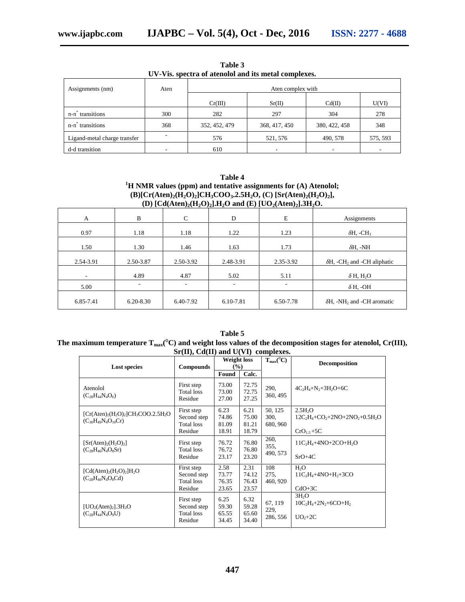|                              |      | UV-Vis. spectra of atenolol and its metal complexes. |               |               |          |  |  |  |  |
|------------------------------|------|------------------------------------------------------|---------------|---------------|----------|--|--|--|--|
| Assignments (nm)             | Aten | Aten complex with                                    |               |               |          |  |  |  |  |
|                              |      | Cr(III)                                              | Sr(II)        | Cd(II)        | U(VI)    |  |  |  |  |
| transitions                  | 300  | 282                                                  | 297           | 304           | 278      |  |  |  |  |
| transitions<br>$n-$          | 368  | 352, 452, 479                                        | 368, 417, 450 | 380, 422, 458 | 348      |  |  |  |  |
| Ligand-metal charge transfer |      | 576                                                  | 521, 576      | 490, 578      | 575, 593 |  |  |  |  |
| d-d transition               |      | 610                                                  | ۰             |               |          |  |  |  |  |

**Table 3**

| Table 4                                                                                                                                         |
|-------------------------------------------------------------------------------------------------------------------------------------------------|
| <sup>1</sup> H NMR values (ppm) and tentative assignments for $(A)$ Atenolol;                                                                   |
| $(B) [Cr(Aten)2(H2O)2] CH3COO3$ , 2.5H <sub>2</sub> O, (C) $[Sr(Aten)2(H2O)2],$                                                                 |
| (D) [Cd(Aten) <sub>2</sub> (H <sub>2</sub> O) <sub>2</sub> ],H <sub>2</sub> O and (E) [UO <sub>2</sub> (Aten) <sub>2</sub> ],3H <sub>2</sub> O. |

| A         | B             | $\mathcal{C}$ | D                        | E         | Assignments                      |
|-----------|---------------|---------------|--------------------------|-----------|----------------------------------|
| 0.97      | 1.18          | 1.18          | 1.22                     | 1.23      | $H, -CH3$                        |
| 1.50      | 1.30          | 1.46          | 1.63                     | 1.73      | $H, -NH$                         |
| 2.54-3.91 | 2.50-3.87     | 2.50-3.92     | 2.48-3.91                | 2.35-3.92 | $H$ , $-CH2$ and $-CH$ aliphatic |
| $\sim$    | 4.89          | 4.87          | 5.02                     | 5.11      | H, H <sub>2</sub> O              |
| 5.00      | ٠             | ٠             | $\overline{\phantom{a}}$ | ٠         | $Hn - OH$                        |
| 6.85-7.41 | $6.20 - 8.30$ | 6.40-7.92     | 6.10-7.81                | 6.50-7.78 | $H$ , $-NH_2$ and $-CH$ aromatic |

**Table 5 The maximum temperature Tmax(C) and weight loss values of the decomposition stages for atenolol, Cr(III), Sr(II), Cd(II) and U(VI) complexes.**

| Lost species                                                            | $\lambda$ $\lambda$ $\lambda$<br><b>Compounds</b>  | <b>Weight loss</b><br>$\frac{9}{6}$ |                                 | $T_{max}$ ('C)              | <b>Decomposition</b>                                                            |
|-------------------------------------------------------------------------|----------------------------------------------------|-------------------------------------|---------------------------------|-----------------------------|---------------------------------------------------------------------------------|
|                                                                         |                                                    | Found                               | Calc.                           |                             |                                                                                 |
| Atenolol<br>$(C_{28}H_{44}N_4O_6)$                                      | First step<br>Total loss<br>Residue                | 73.00<br>73.00<br>27.00             | 72.75<br>72.75<br>27.25         | 290,<br>360, 495            | $4C_2H_4 + N_2 + 3H_2O + 6C$                                                    |
| $[Cr(Aten)2(H2O)2]CH3COO.2.5H2O$<br>$(C_{30}H_{49}N_4O_{10}Cr)$         | First step<br>Second step<br>Total loss<br>Residue | 6.23<br>74.86<br>81.09<br>18.91     | 6.21<br>75.00<br>81.21<br>18.79 | 50, 125<br>300,<br>680, 960 | 2.5H <sub>2</sub> O<br>$12C_2H_4 + CO_2 + 2NO + 2NO_2 + 0.5H_2O$<br>$CrO1.5+5C$ |
| $[Sr(Aten)2(H2O)2]$<br>$(C_{28}H_{46}N_4O_8Sr)$                         | First step<br>Total loss<br>Residue                | 76.72<br>76.72<br>23.17             | 76.80<br>76.80<br>23.20         | 260,<br>355.<br>490, 573    | $11C_2H_4 + 4NO + 2CO + H_2O$<br>$SrO+4C$                                       |
| $\text{[Cd(Aten)2(H2O)2]}$ H <sub>2</sub> O<br>$(C_{28}H_{46}N_4O_8Cd)$ | First step<br>Second step<br>Total loss<br>Residue | 2.58<br>73.77<br>76.35<br>23.65     | 2.31<br>74.12<br>76.43<br>23.57 | 108<br>275,<br>460, 920     | H <sub>2</sub> O<br>$11C_2H_4 + 4NO + H_2 + 3CO$<br>$CdO+3C$                    |
| $[UO2(Aten)2]$ .3H <sub>2</sub> O<br>$(C_{28}H_{44}N_4O_9U)$            | First step<br>Second step<br>Total loss<br>Residue | 6.25<br>59.30<br>65.55<br>34.45     | 6.32<br>59.28<br>65.60<br>34.40 | 67, 119<br>229,<br>286, 556 | 3H <sub>2</sub> O<br>$10C_2H_4 + 2N_2 + 6CO + H_2$<br>$UO_{2}+2C$               |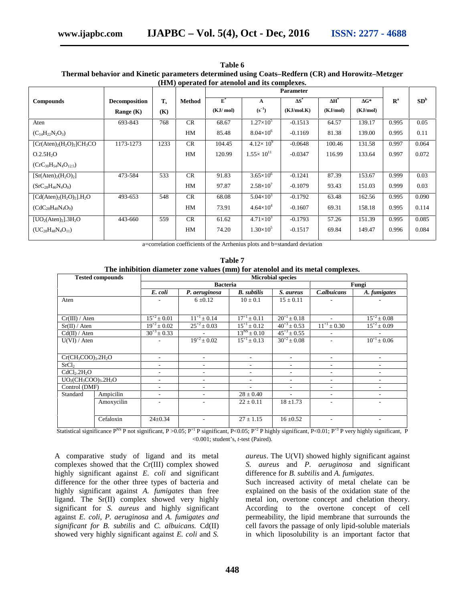| Table 6                                                                                          |  |
|--------------------------------------------------------------------------------------------------|--|
| Thermal behavior and Kinetic parameters determined using Coats–Redfern (CR) and Horowitz–Metzger |  |
| (HM) operated for atenolol and its complexes.                                                    |  |

|                                                |                      |         |           |          | <b>Parameter</b>      |                |                |          |                           |                 |
|------------------------------------------------|----------------------|---------|-----------|----------|-----------------------|----------------|----------------|----------|---------------------------|-----------------|
| <b>Compounds</b>                               | <b>Decomposition</b> | $T_{s}$ | Method    | $E^*$    | A                     | $\mathbf{s}^*$ | $\mathbf{H}^*$ | $G^*$    | $\mathbf{R}^{\mathbf{a}}$ | SD <sup>b</sup> |
|                                                | Range $(K)$          | (K)     |           | (KJ/mol) | $(s^{-1})$            | (KJ/mol,K)     | (KJ/mol)       | (KJ/mol) |                           |                 |
| Aten                                           | 693-843              | 768     | <b>CR</b> | 68.67    | $1.27\times10^{5}$    | $-0.1513$      | 64.57          | 139.17   | 0.995                     | 0.05            |
| $(C_{14}H_{22}N_2O_3)$                         |                      |         | HM        | 85.48    | $8.04\times10^{6}$    | $-0.1169$      | 81.38          | 139.00   | 0.995                     | 0.11            |
| $[Cr(Aten)2(H2O)2]CH3CO$                       | 1173-1273            | 1233    | <b>CR</b> | 104.45   | $4.12 \times 10^{9}$  | $-0.0648$      | 100.46         | 131.58   | 0.997                     | 0.064           |
| O.2.5H <sub>2</sub> O                          |                      |         | HM        | 120.99   | $1.55 \times 10^{11}$ | $-0.0347$      | 116.99         | 133.64   | 0.997                     | 0.072           |
| $(CrC_{30}H_{54}N_4O_{12.5})$                  |                      |         |           |          |                       |                |                |          |                           |                 |
| $[Sr(Aten)_{2}(H_{2}O)_{2}]$                   | 473-584              | 533     | <b>CR</b> | 91.83    | $3.65\times10^{6}$    | $-0.1241$      | 87.39          | 153.67   | 0.999                     | 0.03            |
| $(SrC_{28}H_{46}N_4O_8)$                       |                      |         | HM        | 97.87    | $2.58\times10^{7}$    | $-0.1079$      | 93.43          | 151.03   | 0.999                     | 0.03            |
| $[Cd(Aten)_{2}(H_{2}O)_{2}]$ .H <sub>2</sub> O | 493-653              | 548     | <b>CR</b> | 68.08    | $5.04\times10^{3}$    | $-0.1792$      | 63.48          | 162.56   | 0.995                     | 0.090           |
| $(CdC_{28}H_{48}N_4O_9)$                       |                      |         | HM        | 73.91    | $4.64\times10^{4}$    | $-0.1607$      | 69.31          | 158.18   | 0.995                     | 0.114           |
| $[UO2(Aten)2]$ .3H <sub>2</sub> O              | 443-660              | 559     | <b>CR</b> | 61.62    | $4.71\times10^{3}$    | $-0.1793$      | 57.26          | 151.39   | 0.995                     | 0.085           |
| $(UC_{28}H_{48}N_4O_{11})$                     |                      |         | HM        | 74.20    | $1.30\times10^{5}$    | $-0.1517$      | 69.84          | 149.47   | 0.996                     | 0.084           |
|                                                |                      |         |           |          |                       |                |                |          |                           |                 |

a=correlation coefficients of the Arrhenius plots and b=standard deviation

**Table 7 The inhibition diameter zone values (mm) for atenolol and its metal complexes.**

|                                      | <b>Tested compounds</b> | <b>Microbial species</b>     |                                             |                               |                           |                               |                          |  |  |  |  |  |
|--------------------------------------|-------------------------|------------------------------|---------------------------------------------|-------------------------------|---------------------------|-------------------------------|--------------------------|--|--|--|--|--|
|                                      |                         |                              | <b>Bacteria</b>                             |                               | Fungi                     |                               |                          |  |  |  |  |  |
|                                      |                         | E. coli                      | P. aeruginosa                               | <b>B.</b> subtilis            | S. aureus                 | C.albuicans                   | A. fumigates             |  |  |  |  |  |
| Aten                                 |                         |                              | $6 \pm 0.12$                                | $10 \pm 0.1$                  | $15 \pm 0.11$             |                               |                          |  |  |  |  |  |
|                                      |                         |                              |                                             |                               |                           |                               |                          |  |  |  |  |  |
| Cr(III) / Aten                       |                         | $15^{+2} \pm 0.01$           | $11^{+1}$ + 0.14                            | $17^{+1}$ + 0.11              | $20^{+1} \pm 0.18$        |                               | $15^{+2} \pm 0.08$       |  |  |  |  |  |
| Sr(II) / Aten                        |                         | $\frac{19^{+2} \pm 0.02}{2}$ | $\frac{25^{+2} \pm 0.03}{25^{+2} \pm 0.03}$ | $\overline{15}^{+1} \pm 0.12$ | $\sqrt{40^{+3} \pm 0.53}$ | $\overline{11}^{+1} \pm 0.30$ | $15^{+2} \pm 0.09$       |  |  |  |  |  |
| Cd(II) / Aten                        |                         | $30^{+3} \pm 0.33$           |                                             | $13^{NS}$ ± 0.10              | $45^{+3} \pm 0.55$        | $\overline{\phantom{a}}$      |                          |  |  |  |  |  |
| U(VI) / Aten                         |                         |                              | $\frac{19^{+2} \pm 0.02}{2}$                | $15^{+1} \pm 0.13$            | $30^{+2} \pm 0.08$        |                               | $10^{+1} \pm 0.06$       |  |  |  |  |  |
|                                      |                         |                              |                                             |                               |                           |                               |                          |  |  |  |  |  |
| $Cr(CH_3COO)_3.2H_2O$                |                         | ٠                            | $\overline{\phantom{a}}$                    | ۰.                            | $\overline{\phantom{a}}$  | ٠                             | $\overline{\phantom{a}}$ |  |  |  |  |  |
| SrCl <sub>2</sub>                    |                         |                              | ۰                                           | $\overline{\phantom{a}}$      | ٠                         | ۰                             |                          |  |  |  |  |  |
| CdCl <sub>2</sub> .2H <sub>2</sub> O |                         | $\overline{\phantom{a}}$     | $\overline{\phantom{a}}$                    | $\overline{\phantom{a}}$      | $\overline{\phantom{a}}$  | -                             | ٠                        |  |  |  |  |  |
| $UO2(CH3COO)3$ .2H <sub>2</sub> O    |                         | ٠                            | $\overline{\phantom{a}}$                    | $\overline{\phantom{a}}$      | ٠                         | ٠                             | ٠                        |  |  |  |  |  |
| Control (DMF)                        |                         | ٠                            | ۰                                           | ٠                             | ۰.                        | ٠                             | ٠                        |  |  |  |  |  |
| Standard                             | Ampicilin               | ٠                            | ٠                                           | $28 \pm 0.40$                 | ۰                         | ۰                             | ٠                        |  |  |  |  |  |
|                                      | Amoxycilin              |                              |                                             | $22 \pm 0.11$                 | $18 + 1.73$               |                               |                          |  |  |  |  |  |
|                                      |                         |                              |                                             |                               |                           |                               |                          |  |  |  |  |  |
|                                      | Cefaloxin               | $24 \pm 0.34$                |                                             | $27 \pm 1.15$                 | $16 \pm 0.52$             |                               |                          |  |  |  |  |  |
|                                      |                         |                              |                                             |                               |                           |                               |                          |  |  |  |  |  |

Statistical significance P<sup>NS</sup> P not significant, P >0.05; P<sup>+1</sup> P significant, P <0.05; P<sup>+2</sup> P highly significant, P <0.01; P<sup>+3</sup> P very highly significant, P <0.001; student's, *t-*test (Paired).

A comparative study of ligand and its metal complexes showed that the Cr(III) complex showed highly significant against *E. coli* and significant difference for the other three types of bacteria and highly significant against *A. fumigates* than free ligand. The Sr(II) complex showed very highly significant for *S. aureus* and highly significant against *E. coli*, *P. aeruginosa* and *A. fumigates and significant for B. subtilis* and *C. albuicans.* Cd(II) showed very highly significant against *E. coli* and *S.*

*aureus*. The U(VI) showed highly significant against *S. aureus* and *P. aeruginosa* and significant difference for *B. subtilis* and *A. fumigates*.

Such increased activity of metal chelate can be explained on the basis of the oxidation state of the metal ion, overtone concept and chelation theory. According to the overtone concept of cell permeability, the lipid membrane that surrounds the cell favors the passage of only lipid-soluble materials in which liposolubility is an important factor that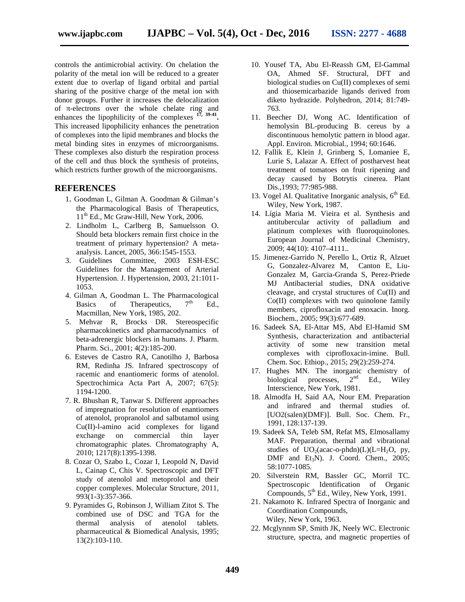controls the antimicrobial activity. On chelation the polarity of the metal ion will be reduced to a greater extent due to overlap of ligand orbital and partial sharing of the positive charge of the metal ion with donor groups. Further it increases the delocalization of -electrons over the whole chelate ring and enhances the lipophilicity of the complexes  $1^{7}$ ,  $39-41$ . This increased lipophilicity enhances the penetration of complexes into the lipid membranes and blocks the metal binding sites in enzymes of microorganisms. These complexes also disturb the respiration process of the cell and thus block the synthesis of proteins, which restricts further growth of the microorganisms.

### **REFERENCES**

- 1. Goodman L, Gilman A. Goodman & Gilman's the Pharmacological Basis of Therapeutics,  $11<sup>th</sup>$  Ed., Mc Graw-Hill, New York, 2006.
- 2. Lindholm L, Carlberg B, Samuelsson O. Should beta blockers remain first choice in the treatment of primary hypertension? A meta analysis. Lancet, 2005, 366:1545-1553.
- 3. Guidelines Committee, 2003 ESH-ESC Guidelines for the Management of Arterial Hypertension. J. Hypertension, 2003, 21:1011- 1053.
- 4. Gilman A, Goodman L. The Pharmacological Basics of Therapeutics,  $7<sup>th</sup>$  Ed., Macmillan, New York, 1985, 202.
- 5. Mehvar R, Brocks DR. Stereospecific pharmacokinetics and pharmacodynamics of beta-adrenergic blockers in humans. J. Pharm. Pharm. Sci., 2001; 4(2):185-200.
- 6. Esteves de Castro RA, Canotilho J, Barbosa RM, Redinha JS. Infrared spectroscopy of racemic and enantiomeric forms of atenolol. Spectrochimica Acta Part A, 2007; 67(5): 1194-1200.
- 7. R. Bhushan R, Tanwar S. Different approaches of impregnation for resolution of enantiomers of atenolol, propranolol and salbutamol using Cu(II)-l-amino acid complexes for ligand exchange on commercial thin layer chromatographic plates. Chromatography A, 2010; 1217(8):1395-1398.
- 8. Cozar O, Szabo L, Cozar I, Leopold N, David L, Cainap C, Chis V. Spectroscopic and DFT study of atenolol and metoprolol and their copper complexes. Molecular Structure, 2011, 993(1-3):357-366.
- 9. Pyramides G, Robinson J, William Zitot S. The combined use of DSC and TGA for the thermal analysis of atenolol tablets. pharmaceutical & Biomedical Analysis, 1995; 13(2):103-110.
- 10. Yousef TA, Abu El-Reassh GM, El-Gammal OA, Ahmed SF. Structural, DFT and biological studies on Cu(II) complexes of semi and thiosemicarbazide ligands derived from diketo hydrazide. Polyhedron, 2014; 81:749- 763.
- 11. Beecher DJ, Wong AC. Identification of hemolysin BL-producing B. cereus by a discontinuous hemolytic pattern in blood agar. Appl. Environ. Microbial., 1994; 60:1646.
- 12. Fallik E, Klein J, Grinberg S, Lomaniee E, Lurie S, Lalazar A. Effect of postharvest heat treatment of tomatoes on fruit ripening and decay caused by Botrytis cinerea. Plant Dis.,1993; 77:985-988.
- 13. Vogel AI. Qualitative Inorganic analysis, 6<sup>th</sup> Ed. Wiley, New York, 1987.
- 14. Lígia Maria M. Vieira et al. Synthesis and antitubercular activity of palladium and platinum complexes with fluoroquinolones. European Journal of Medicinal Chemistry, 2009; 44(10): 4107–4111..
- 15. Jimenez-Garrido N, Perello L, Ortiz R, Alzuet G, Gonzalez-Alvarez M, Canton E, Liu- Gonzalez M, Garcia-Granda S, Perez-Priede MJ Antibacterial studies, DNA oxidative cleavage, and crystal structures of Cu(II) and Co(II) complexes with two quinolone family members, ciprofloxacin and enoxacin. Inorg. Biochem., 2005; 99(3):677-689.
- 16. Sadeek SA, El-Attar MS, Abd El-Hamid SM Synthesis, characterization and antibacterial activity of some new transition metal complexes with ciprofloxacin-imine. Bull. Chem. Soc. Ethiop., 2015; 29(2):259-274.
- 17. Hughes MN. The inorganic chemistry of biological processes,  $2<sup>nd</sup>$  Ed., Wiley Interscience, New York, 1981.
- 18. Almodfa H, Said AA, Nour EM. Preparation and infrared and thermal studies of. [UO2(salen)(DMF)]. Bull. Soc. Chem. Fr., 1991, 128:137-139.
- 19. Sadeek SA, Teleb SM, Refat MS, Elmosallamy MAF. Preparation, thermal and vibrational studies of  $UO_2$ (acac-o-phdn)(L)(L=H<sub>2</sub>O, py, DMF and Et<sub>3</sub>N). J. Coord. Chem., 2005; 58:1077-1085.
- 20. Silverstein RM, Bassler GC, Morril TC. Spectroscopic Identification of Organic Compounds,  $5<sup>th</sup>$  Ed., Wiley, New York, 1991.
- 21. Nakamoto K. Infrared Spectra of Inorganic and Coordination Compounds, Wiley, New York, 1963.
- 22. Mcglynnm SP, Smith JK, Neely WC. Electronic structure, spectra, and magnetic properties of